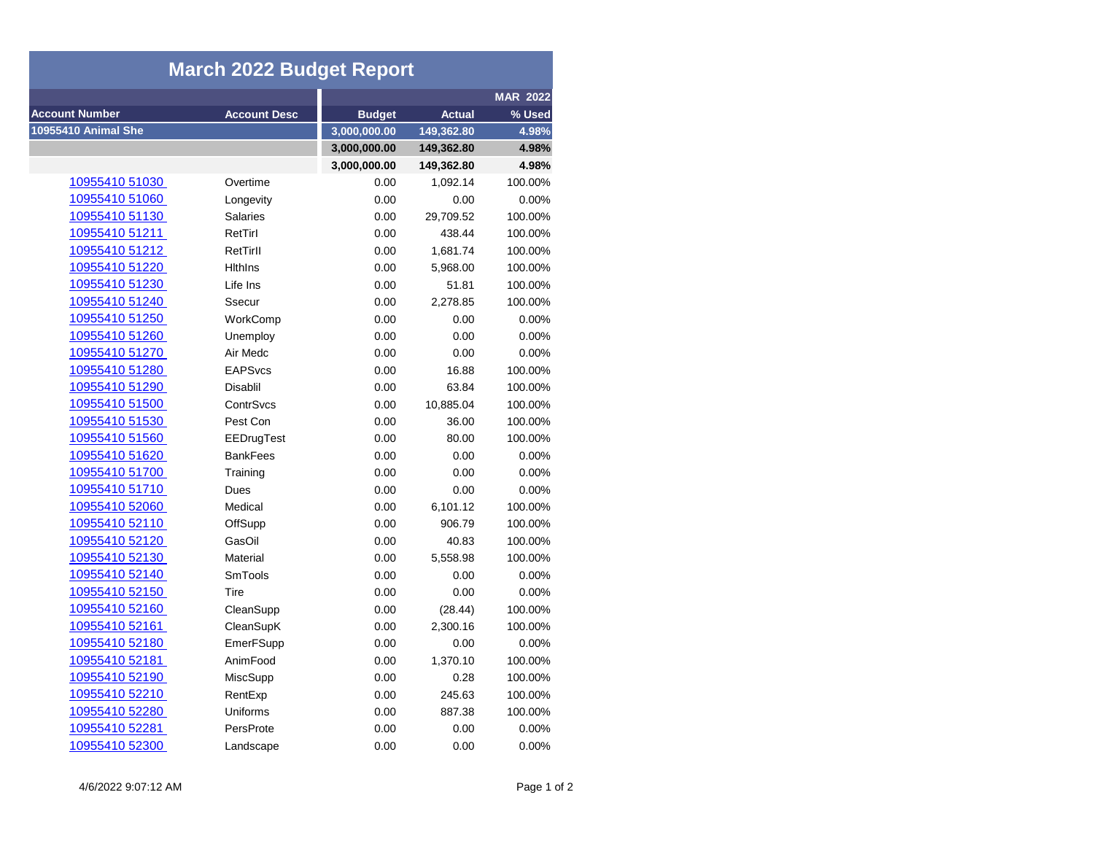| <b>March 2022 Budget Report</b> |                     |               |               |                 |  |  |
|---------------------------------|---------------------|---------------|---------------|-----------------|--|--|
|                                 |                     |               |               | <b>MAR 2022</b> |  |  |
| <b>Account Number</b>           | <b>Account Desc</b> | <b>Budget</b> | <b>Actual</b> | % Used          |  |  |
| 10955410 Animal She             |                     | 3,000,000.00  | 149,362.80    | 4.98%           |  |  |
|                                 |                     | 3,000,000.00  | 149,362.80    | 4.98%           |  |  |
|                                 |                     | 3,000,000.00  | 149,362.80    | 4.98%           |  |  |
| 10955410 51030                  | Overtime            | 0.00          | 1,092.14      | 100.00%         |  |  |
| 10955410 51060                  | Longevity           | 0.00          | 0.00          | 0.00%           |  |  |
| 10955410 51130                  | <b>Salaries</b>     | 0.00          | 29,709.52     | 100.00%         |  |  |
| 10955410 51211                  | RetTirl             | 0.00          | 438.44        | 100.00%         |  |  |
| 10955410 51212                  | RetTirll            | 0.00          | 1,681.74      | 100.00%         |  |  |
| 10955410 51220                  | <b>Hithins</b>      | 0.00          | 5,968.00      | 100.00%         |  |  |
| 10955410 51230                  | Life Ins            | 0.00          | 51.81         | 100.00%         |  |  |
| 10955410 51240                  | Ssecur              | 0.00          | 2,278.85      | 100.00%         |  |  |
| 10955410 51250                  | WorkComp            | 0.00          | 0.00          | 0.00%           |  |  |
| 10955410 51260                  | Unemploy            | 0.00          | 0.00          | 0.00%           |  |  |
| 10955410 51270                  | Air Medc            | 0.00          | 0.00          | 0.00%           |  |  |
| 10955410 51280                  | <b>EAPSvcs</b>      | 0.00          | 16.88         | 100.00%         |  |  |
| 10955410 51290                  | <b>Disablil</b>     | 0.00          | 63.84         | 100.00%         |  |  |
| 10955410 51500                  | ContrSvcs           | 0.00          | 10,885.04     | 100.00%         |  |  |
| 10955410 51530                  | Pest Con            | 0.00          | 36.00         | 100.00%         |  |  |
| 10955410 51560                  | EEDrugTest          | 0.00          | 80.00         | 100.00%         |  |  |
| 10955410 51620                  | <b>BankFees</b>     | 0.00          | 0.00          | 0.00%           |  |  |
| 10955410 51700                  | Training            | 0.00          | 0.00          | 0.00%           |  |  |
| 10955410 51710                  | Dues                | 0.00          | 0.00          | 0.00%           |  |  |
| 10955410 52060                  | Medical             | 0.00          | 6,101.12      | 100.00%         |  |  |
| 10955410 52110                  | OffSupp             | 0.00          | 906.79        | 100.00%         |  |  |
| 10955410 52120                  | GasOil              | 0.00          | 40.83         | 100.00%         |  |  |
| 10955410 52130                  | Material            | 0.00          | 5,558.98      | 100.00%         |  |  |
| 10955410 52140                  | <b>SmTools</b>      | 0.00          | 0.00          | 0.00%           |  |  |
| 10955410 52150                  | Tire                | 0.00          | 0.00          | 0.00%           |  |  |
| 10955410 52160                  | CleanSupp           | 0.00          | (28.44)       | 100.00%         |  |  |
| 10955410 52161                  | CleanSupK           | 0.00          | 2,300.16      | 100.00%         |  |  |
| 10955410 52180                  | EmerFSupp           | 0.00          | 0.00          | 0.00%           |  |  |
| 10955410 52181                  | AnimFood            | 0.00          | 1,370.10      | 100.00%         |  |  |
| 10955410 52190                  | MiscSupp            | 0.00          | 0.28          | 100.00%         |  |  |
| 10955410 52210                  | RentExp             | 0.00          | 245.63        | 100.00%         |  |  |
| 10955410 52280                  | <b>Uniforms</b>     | 0.00          | 887.38        | 100.00%         |  |  |
| 10955410 52281                  | PersProte           | 0.00          | 0.00          | 0.00%           |  |  |
| 10955410 52300                  | Landscape           | 0.00          | 0.00          | 0.00%           |  |  |